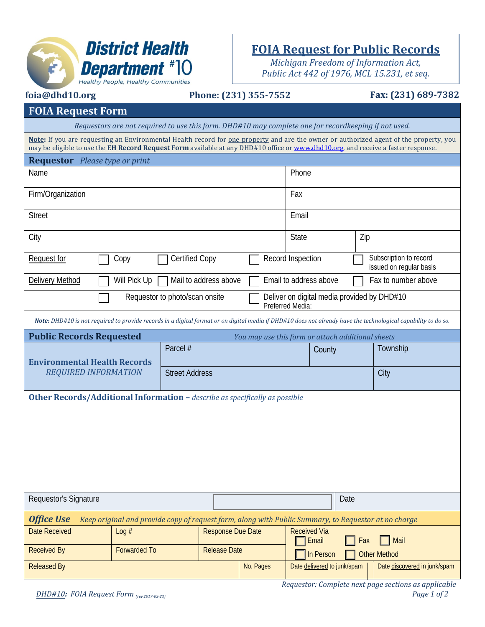

## **FOIA Request for Public Records**

*Michigan Freedom of Information Act, Public Act 442 of 1976, MCL 15.231, et seq.*

|                                                                                                                                   | <b>Healthy People, Healthy Communities</b> |                                                                                                      |                                                                 |           |                                                   |      |                 |                                                                                                                                                                |  |
|-----------------------------------------------------------------------------------------------------------------------------------|--------------------------------------------|------------------------------------------------------------------------------------------------------|-----------------------------------------------------------------|-----------|---------------------------------------------------|------|-----------------|----------------------------------------------------------------------------------------------------------------------------------------------------------------|--|
| foia@dhd10.org                                                                                                                    | Phone: (231) 355-7552                      |                                                                                                      |                                                                 |           | Fax: (231) 689-7382                               |      |                 |                                                                                                                                                                |  |
| <b>FOIA Request Form</b>                                                                                                          |                                            |                                                                                                      |                                                                 |           |                                                   |      |                 |                                                                                                                                                                |  |
|                                                                                                                                   |                                            | Requestors are not required to use this form. DHD#10 may complete one for recordkeeping if not used. |                                                                 |           |                                                   |      |                 |                                                                                                                                                                |  |
| may be eligible to use the EH Record Request Form available at any DHD#10 office or www.dhd10.org, and receive a faster response. |                                            |                                                                                                      |                                                                 |           |                                                   |      |                 | Note: If you are requesting an Environmental Health record for one property and are the owner or authorized agent of the property, you                         |  |
| <b>Requestor</b> Please type or print                                                                                             |                                            |                                                                                                      |                                                                 |           |                                                   |      |                 |                                                                                                                                                                |  |
| Name                                                                                                                              |                                            |                                                                                                      |                                                                 |           | Phone                                             |      |                 |                                                                                                                                                                |  |
| Firm/Organization                                                                                                                 |                                            |                                                                                                      |                                                                 |           | Fax                                               |      |                 |                                                                                                                                                                |  |
| <b>Street</b>                                                                                                                     |                                            |                                                                                                      |                                                                 |           | Email                                             |      |                 |                                                                                                                                                                |  |
| City                                                                                                                              |                                            |                                                                                                      |                                                                 | State     |                                                   |      | Zip             |                                                                                                                                                                |  |
| Request for                                                                                                                       | Copy                                       | <b>Certified Copy</b>                                                                                |                                                                 |           | Record Inspection                                 |      |                 | Subscription to record<br>issued on regular basis                                                                                                              |  |
| Delivery Method                                                                                                                   | Will Pick Up                               | Mail to address above                                                                                |                                                                 |           | Email to address above                            |      |                 | Fax to number above                                                                                                                                            |  |
|                                                                                                                                   | Requestor to photo/scan onsite             |                                                                                                      | Deliver on digital media provided by DHD#10<br>Preferred Media: |           |                                                   |      |                 |                                                                                                                                                                |  |
|                                                                                                                                   |                                            |                                                                                                      |                                                                 |           |                                                   |      |                 | Note: DHD#10 is not required to provide records in a digital format or on digital media if DHD#10 does not already have the technological capability to do so. |  |
| <b>Public Records Requested</b>                                                                                                   |                                            |                                                                                                      |                                                                 |           | You may use this form or attach additional sheets |      |                 |                                                                                                                                                                |  |
| <b>Environmental Health Records</b>                                                                                               |                                            | Parcel #                                                                                             |                                                                 |           | County                                            |      |                 | Township                                                                                                                                                       |  |
| <b>REQUIRED INFORMATION</b>                                                                                                       |                                            | <b>Street Address</b>                                                                                |                                                                 |           |                                                   |      |                 | City                                                                                                                                                           |  |
| Other Records/Additional Information - describe as specifically as possible                                                       |                                            |                                                                                                      |                                                                 |           |                                                   |      |                 |                                                                                                                                                                |  |
| Requestor's Signature                                                                                                             |                                            |                                                                                                      |                                                                 |           |                                                   | Date |                 |                                                                                                                                                                |  |
| <b>Office Use</b>                                                                                                                 |                                            | Keep original and provide copy of request form, along with Public Summary, to Requestor at no charge |                                                                 |           |                                                   |      |                 |                                                                                                                                                                |  |
| <b>Date Received</b>                                                                                                              | Log#                                       |                                                                                                      | <b>Response Due Date</b>                                        |           | <b>Received Via</b><br>Email                      |      | $\parallel$ Fax | $\Box$ Mail                                                                                                                                                    |  |
| <b>Received By</b>                                                                                                                | <b>Forwarded To</b>                        |                                                                                                      | <b>Release Date</b>                                             |           | In Person                                         |      |                 | <b>Other Method</b>                                                                                                                                            |  |
| <b>Released By</b>                                                                                                                |                                            |                                                                                                      |                                                                 | No. Pages | Date delivered to junk/spam                       |      |                 | Date discovered in junk/spam                                                                                                                                   |  |